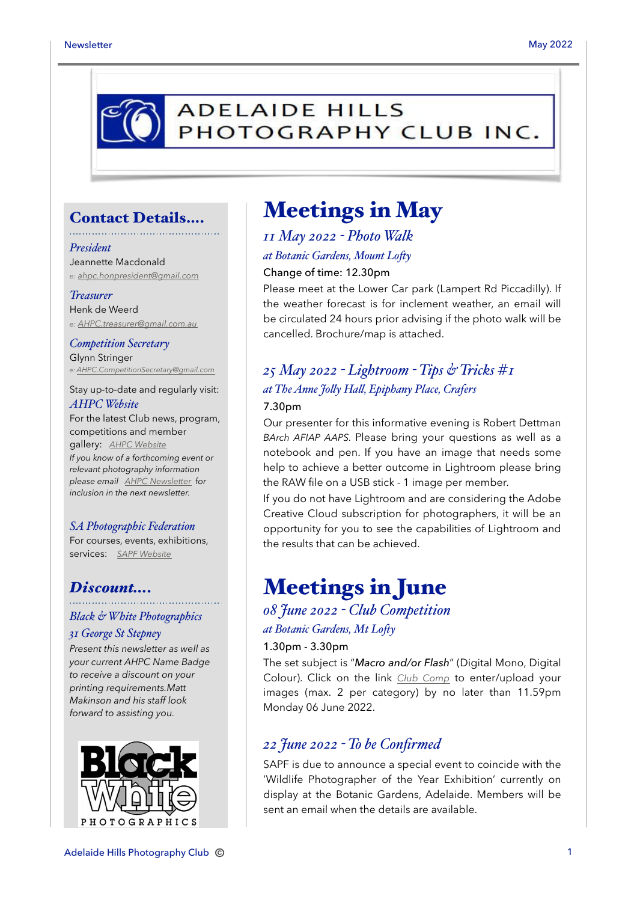

### Contact Details….

#### *President*

Jeannette Macdonald *e: [ahpc.honpresident@gmail.com](mailto:ahpc.honpresident@gmail.com)*

#### *Treasurer*

Henk de Weerd *e: [AHPC.treasurer@gmail.com.au](mailto:AHPC.treasurer@gmail.com.au)*

*Competition Secretary* Glynn Stringer *e: [AHPC.CompetitionSecretary@gmail.com](mailto:AHPC.CompetitionSecretary@gmail.com)*

Stay up-to-date and regularly visit: *AHPC Website*

For the latest Club news, program, competitions and member gallery: *[AHPC Website](http://www.adelaidehillsphotographyclub.com.au) If you know of a forthcoming event or relevant photography information please email [AHPC Newsletter](mailto:AHPC.newsletter@gmail.com)* f*or inclusion in the next newsletter.* 

#### *SA Photographic Federation*

For courses, events, exhibitions, services: *[SAPF Website](https://www.sapf.org.au)*

### *Discount….*

## *Black & White Photographics*

#### *31 George St Stepney*

*Present this newsletter as well as your current AHPC Name Badge to receive a discount on your printing requirements.Matt Makinson and his staff look forward to assisting you.*



## Meetings in May

### *11 May 2022 - Photo Walk*

### *at Botanic Gardens, Mount Lo"y*

### Change of time: 12.30pm

Please meet at the Lower Car park (Lampert Rd Piccadilly). If the weather forecast is for inclement weather, an email will be circulated 24 hours prior advising if the photo walk will be cancelled. Brochure/map is attached.

## *25 May 2022 - Lightroom - Tips & Tricks #1 at The Anne Jo#y Ha#, Epiphany Place, Crafers*

### 7.30pm

Our presenter for this informative evening is Robert Dettman *BArch AFIAP AAPS.* Please bring your questions as well as a notebook and pen. If you have an image that needs some help to achieve a better outcome in Lightroom please bring the RAW file on a USB stick - 1 image per member.

If you do not have Lightroom and are considering the Adobe Creative Cloud subscription for photographers, it will be an opportunity for you to see the capabilities of Lightroom and the results that can be achieved.

## Meetings in June

*08 June 2022 - Club Competition at Botanic Gardens, Mt Lofty* 

### 1.30pm - 3.30pm

The set subject is "*Macro and/or Flash*" (Digital Mono, Digital Colour). Click on the link *[Club Comp](http://www.photocompentries.net/?org=AHPC)* to enter/upload your images (max. 2 per category) by no later than 11.59pm Monday 06 June 2022.

### *22 June 2022 - To be Confirmed*

SAPF is due to announce a special event to coincide with the 'Wildlife Photographer of the Year Exhibition' currently on display at the Botanic Gardens, Adelaide. Members will be sent an email when the details are available.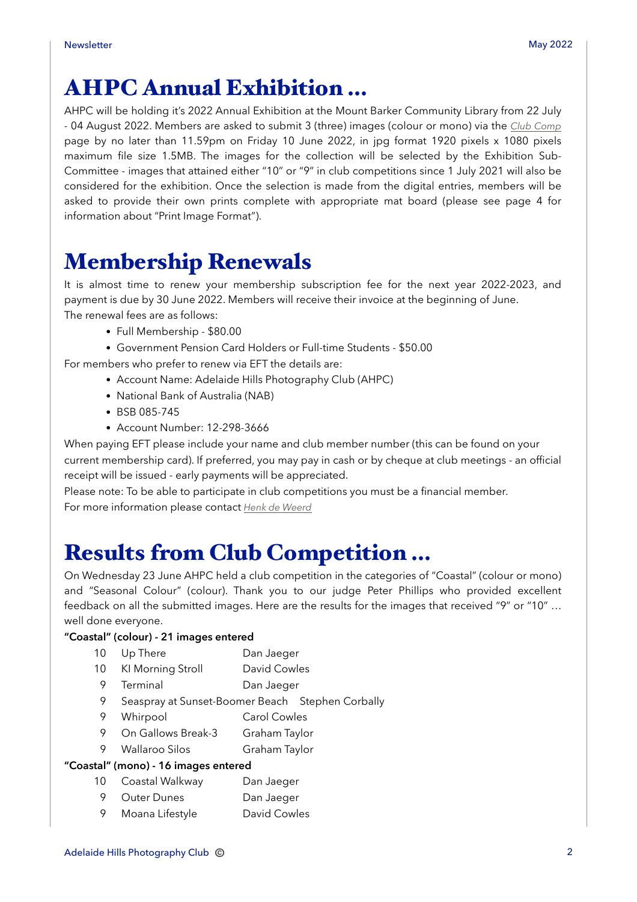# AHPC Annual Exhibition …

AHPC will be holding it's 2022 Annual Exhibition at the Mount Barker Community Library from 22 July - 04 August 2022. Members are asked to submit 3 (three) images (colour or mono) via the *[Club Comp](http://www.photocompentries.net/?org=AHPC)* page by no later than 11.59pm on Friday 10 June 2022, in jpg format 1920 pixels x 1080 pixels maximum file size 1.5MB. The images for the collection will be selected by the Exhibition Sub-Committee - images that attained either "10" or "9" in club competitions since 1 July 2021 will also be considered for the exhibition. Once the selection is made from the digital entries, members will be asked to provide their own prints complete with appropriate mat board (please see page 4 for information about "Print Image Format").

# Membership Renewals

It is almost time to renew your membership subscription fee for the next year 2022-2023, and payment is due by 30 June 2022. Members will receive their invoice at the beginning of June. The renewal fees are as follows:

- Full Membership \$80.00
- Government Pension Card Holders or Full-time Students \$50.00

For members who prefer to renew via EFT the details are:

- Account Name: Adelaide Hills Photography Club (AHPC)
- National Bank of Australia (NAB)
- BSB 085-745
- Account Number: 12-298-3666

When paying EFT please include your name and club member number (this can be found on your current membership card). If preferred, you may pay in cash or by cheque at club meetings - an official receipt will be issued - early payments will be appreciated.

Please note: To be able to participate in club competitions you must be a financial member. For more information please contact *[Henk de Weerd](mailto:AHPC.treasurer@gmail.com.au?subject=Membership%20Renewal)*

# Results from Club Competition …

On Wednesday 23 June AHPC held a club competition in the categories of "Coastal" (colour or mono) and "Seasonal Colour" (colour). Thank you to our judge Peter Phillips who provided excellent feedback on all the submitted images. Here are the results for the images that received "9" or "10" … well done everyone.

### **"Coastal" (colour) - 21 images entered**

| 10                                   | Up There                         | Dan Jaeger                                       |
|--------------------------------------|----------------------------------|--------------------------------------------------|
| 10                                   | KI Morning Stroll                | David Cowles                                     |
| 9                                    | Terminal                         | Dan Jaeger                                       |
| 9                                    |                                  | Seaspray at Sunset-Boomer Beach Stephen Corbally |
| 9                                    | Whirpool                         | Carol Cowles                                     |
| 9                                    | On Gallows Break-3 Graham Taylor |                                                  |
| 9                                    | <b>Wallaroo Silos</b>            | Graham Taylor                                    |
| "Coastal" (mono) - 16 images entered |                                  |                                                  |
| 10                                   | Coastal Walkway                  | Dan Jaeger                                       |

- 9 Outer Dunes Dan Jaeger
- 9 Moana Lifestyle David Cowles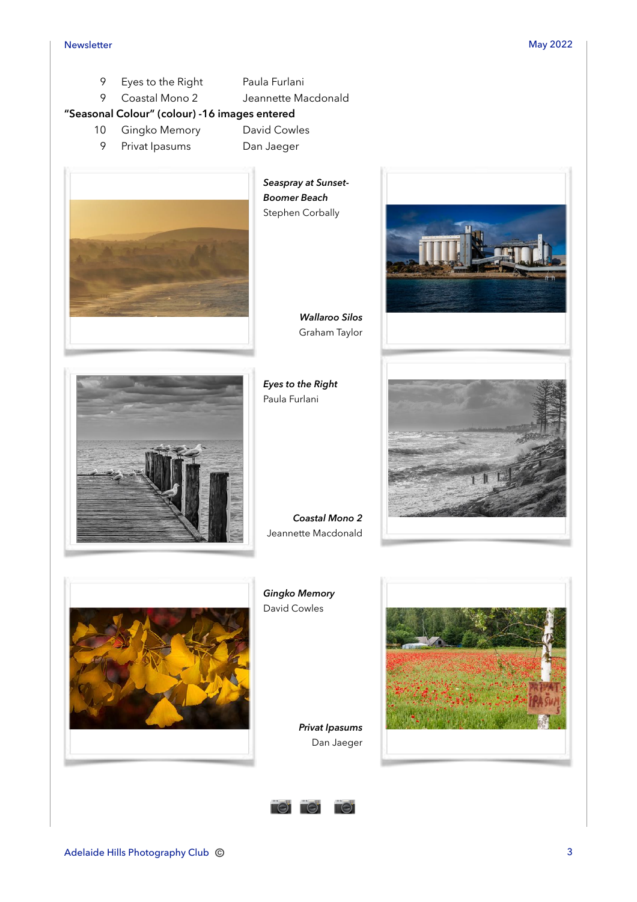- 9 Eyes to the Right Paula Furlani
- 9 Coastal Mono 2 Jeannette Macdonald

### **"Seasonal Colour" (colour) -16 images entered**

- 10 Gingko Memory David Cowles
	- 9 Privat Ipasums Dan Jaeger
		-



*Seaspray at Sunset-Boomer Beach*  Stephen Corbally

> *Wallaroo Silos*  Graham Taylor

*Eyes to the Right*  Paula Furlani





*Coastal Mono 2*  Jeannette Macdonald



*Gingko Memory*  David Cowles

> *Privat Ipasums*  Dan Jaeger